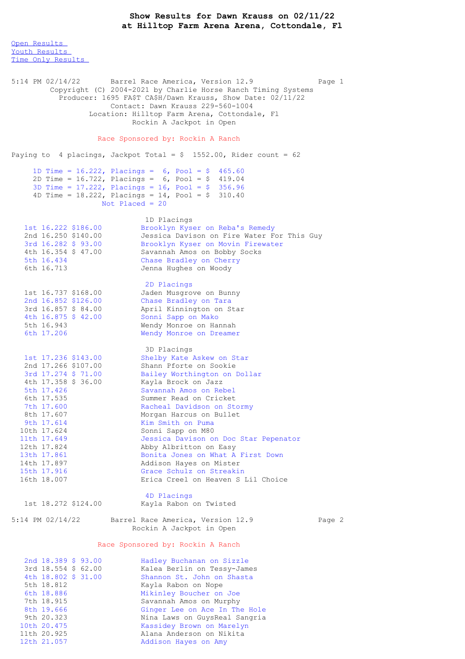## **Show Results for Dawn Krauss on 02/11/22 at Hilltop Farm Arena Arena, Cottondale, Fl**

Open [Results](file:///C:/Users/flori/Downloads/Show_Results_Dawn_Krauss_02_11_22.html#Open) Youth [Results](file:///C:/Users/flori/Downloads/Show_Results_Dawn_Krauss_02_11_22.html#Youth) Time Only [Results](file:///C:/Users/flori/Downloads/Show_Results_Dawn_Krauss_02_11_22.html#Time%20Only)

5:14 PM 02/14/22 Barrel Race America, Version 12.9 Page 1 Copyright (C) 2004-2021 by Charlie Horse Ranch Timing Systems Producer: 1695 FA\$T CA\$H/Dawn Krauss, Show Date: 02/11/22 Contact: Dawn Krauss 229-560-1004 Location: Hilltop Farm Arena, Cottondale, Fl Rockin A Jackpot in Open Race Sponsored by: Rockin A Ranch Paying to 4 placings, Jackpot Total =  $$$  1552.00, Rider count = 62 1D Time =  $16.222$ , Placings =  $6$ , Pool =  $$$  465.60 2D Time = 16.722, Placings = 6, Pool = \$ 419.04 3D Time = 17.222, Placings = 16, Pool = \$ 356.96 4D Time = 18.222, Placings = 14, Pool = \$ 310.40 Not Placed = 20 1D Placings 1st 16.222 \$186.00 Brooklyn Kyser on Reba's Remedy 2nd 16.250 \$140.00 Jessica Davison on Fire Water For This Guy 3rd 16.282 \$ 93.00 Brooklyn Kyser on Movin Firewater 4th 16.354 \$ 47.00 Savannah Amos on Bobby Socks 5th 16.434 Chase Bradley on Cherry 6th 16.713 Jenna Hughes on Woody 2D Placings 1st 16.737 \$168.00 Jaden Musgrove on Bunny 2nd 16.852 \$126.00 Chase Bradley on Tara 3rd 16.857 \$ 84.00 April Kinnington on Star 4th 16.875 \$ 42.00 Sonni Sapp on Mako 5th 16.943 Wendy Monroe on Hannah 6th 17.206 Wendy Monroe on Dreamer 3D Placings 1st 17.236 \$143.00 Shelby Kate Askew on Star 2nd 17.266 \$107.00 Shann Pforte on Sookie 3rd 17.274 \$ 71.00 Bailey Worthington on Dollar 4th 17.358 \$ 36.00 Kayla Brock on Jazz 5th 17.426 Savannah Amos on Rebel 6th 17.535 Summer Read on Cricket 7th 17.600 Racheal Davidson on Stormy 8th 17.607 Morgan Harcus on Bullet 9th 17.614 Kim Smith on Puma 10th 17.624 Sonni Sapp on M80 11th 17.649 Jessica Davison on Doc Star Pepenator 12th 17.824 Abby Albritton on Easy 13th 17.861 Bonita Jones on What A First Down 14th 17.897 Addison Hayes on Mister 15th 17.916 Grace Schulz on Streakin 16th 18.007 Erica Creel on Heaven S Lil Choice 4D Placings 1st 18.272 \$124.00 Kayla Rabon on Twisted 5:14 PM 02/14/22 Barrel Race America, Version 12.9 Page 2 Rockin A Jackpot in Open Race Sponsored by: Rockin A Ranch 2nd 18.389 \$ 93.00 Hadley Buchanan on Sizzle<br>3rd 18.554 \$ 62.00 Kalea Berlin on Tessy-Jam 3rd 18.554 \$ 62.00 Kalea Berlin on Tessy-James 4th 18.802 \$ 31.00 Shannon St. John on Shasta 5th 18.812 Kayla Rabon on Nope 6th 18.886 Mikinley Boucher on Joe 7th 18.915 Savannah Amos on Murphy 8th 19.666 Ginger Lee on Ace In The Hole 9th 20.323 Mina Laws on GuysReal Sangria 10th 20.475 Kassidey Brown on Marelyn 11th 20.925 Alana Anderson on Nikita

12th 21.057 Addison Hayes on Amy